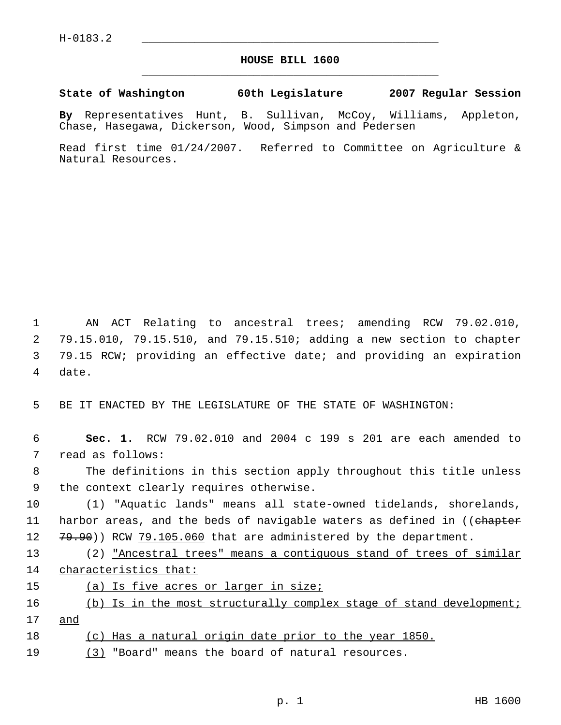## **HOUSE BILL 1600** \_\_\_\_\_\_\_\_\_\_\_\_\_\_\_\_\_\_\_\_\_\_\_\_\_\_\_\_\_\_\_\_\_\_\_\_\_\_\_\_\_\_\_\_\_

**State of Washington 60th Legislature 2007 Regular Session**

**By** Representatives Hunt, B. Sullivan, McCoy, Williams, Appleton, Chase, Hasegawa, Dickerson, Wood, Simpson and Pedersen

Read first time 01/24/2007. Referred to Committee on Agriculture & Natural Resources.

 AN ACT Relating to ancestral trees; amending RCW 79.02.010, 79.15.010, 79.15.510, and 79.15.510; adding a new section to chapter 79.15 RCW; providing an effective date; and providing an expiration 4 date.

5 BE IT ENACTED BY THE LEGISLATURE OF THE STATE OF WASHINGTON:

 **Sec. 1.** RCW 79.02.010 and 2004 c 199 s 201 are each amended to read as follows: The definitions in this section apply throughout this title unless the context clearly requires otherwise. (1) "Aquatic lands" means all state-owned tidelands, shorelands, 11 harbor areas, and the beds of navigable waters as defined in ((ehapter 12 79.90)) RCW 79.105.060 that are administered by the department. 13 (2) <u>"Ancestral trees" means a contiguous stand of trees of similar</u>

14 characteristics that:

15 (a) Is five acres or larger in size;

16 (b) Is in the most structurally complex stage of stand development; 17 and

18 (c) Has a natural origin date prior to the year 1850.

19 (3) "Board" means the board of natural resources.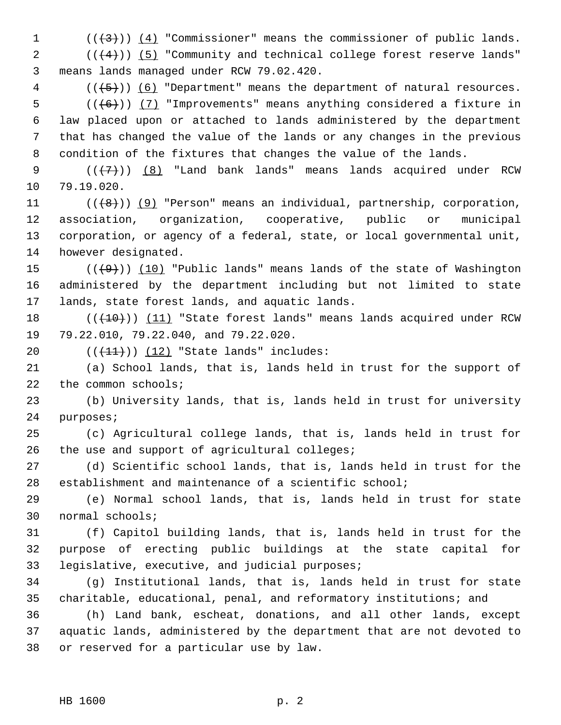1  $((+3))$   $(4)$  "Commissioner" means the commissioner of public lands.

 ( $(\frac{4}{4})$ ) (5) "Community and technical college forest reserve lands" means lands managed under RCW 79.02.420.

 (( $\left(\frac{5}{5}\right)$ ) (6) "Department" means the department of natural resources.  $((+6))$  (7) "Improvements" means anything considered a fixture in law placed upon or attached to lands administered by the department that has changed the value of the lands or any changes in the previous condition of the fixtures that changes the value of the lands.

9  $((\langle 7\rangle) )$  (8) "Land bank lands" means lands acquired under RCW 79.19.020.

 $((\lbrace 8 \rbrace))$  (9) "Person" means an individual, partnership, corporation, association, organization, cooperative, public or municipal corporation, or agency of a federal, state, or local governmental unit, however designated.

15  $((+9))$  (10) "Public lands" means lands of the state of Washington administered by the department including but not limited to state lands, state forest lands, and aquatic lands.

18 (( $(10)$ )) (11) "State forest lands" means lands acquired under RCW 79.22.010, 79.22.040, and 79.22.020.

20  $((+11))$   $(12)$  "State lands" includes:

 (a) School lands, that is, lands held in trust for the support of 22 the common schools;

 (b) University lands, that is, lands held in trust for university purposes;

 (c) Agricultural college lands, that is, lands held in trust for 26 the use and support of agricultural colleges;

 (d) Scientific school lands, that is, lands held in trust for the establishment and maintenance of a scientific school;

 (e) Normal school lands, that is, lands held in trust for state normal schools;

 (f) Capitol building lands, that is, lands held in trust for the purpose of erecting public buildings at the state capital for legislative, executive, and judicial purposes;

 (g) Institutional lands, that is, lands held in trust for state charitable, educational, penal, and reformatory institutions; and

 (h) Land bank, escheat, donations, and all other lands, except aquatic lands, administered by the department that are not devoted to or reserved for a particular use by law.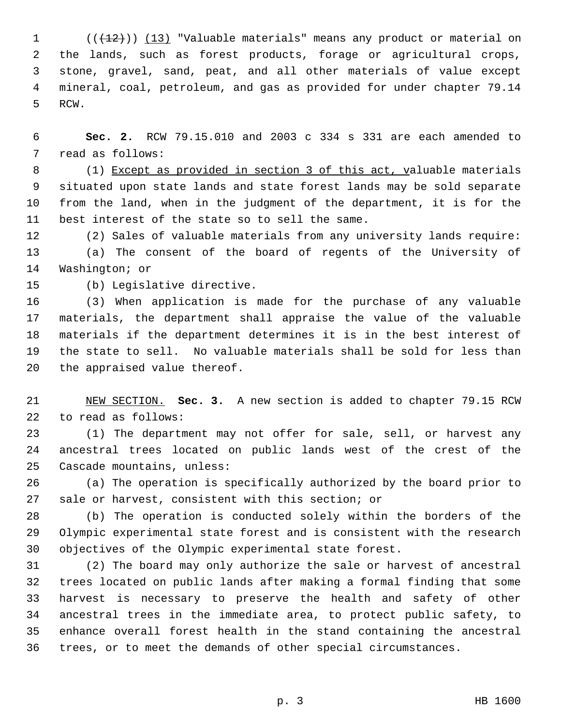$((+2)^n)$   $(13)$  "Valuable materials" means any product or material on the lands, such as forest products, forage or agricultural crops, stone, gravel, sand, peat, and all other materials of value except mineral, coal, petroleum, and gas as provided for under chapter 79.14 RCW.

 **Sec. 2.** RCW 79.15.010 and 2003 c 334 s 331 are each amended to read as follows:

 (1) Except as provided in section 3 of this act, valuable materials situated upon state lands and state forest lands may be sold separate from the land, when in the judgment of the department, it is for the best interest of the state so to sell the same.

 (2) Sales of valuable materials from any university lands require: (a) The consent of the board of regents of the University of Washington; or

(b) Legislative directive.

 (3) When application is made for the purchase of any valuable materials, the department shall appraise the value of the valuable materials if the department determines it is in the best interest of the state to sell. No valuable materials shall be sold for less than the appraised value thereof.

 NEW SECTION. **Sec. 3.** A new section is added to chapter 79.15 RCW to read as follows:

 (1) The department may not offer for sale, sell, or harvest any ancestral trees located on public lands west of the crest of the Cascade mountains, unless:

 (a) The operation is specifically authorized by the board prior to sale or harvest, consistent with this section; or

 (b) The operation is conducted solely within the borders of the Olympic experimental state forest and is consistent with the research objectives of the Olympic experimental state forest.

 (2) The board may only authorize the sale or harvest of ancestral trees located on public lands after making a formal finding that some harvest is necessary to preserve the health and safety of other ancestral trees in the immediate area, to protect public safety, to enhance overall forest health in the stand containing the ancestral trees, or to meet the demands of other special circumstances.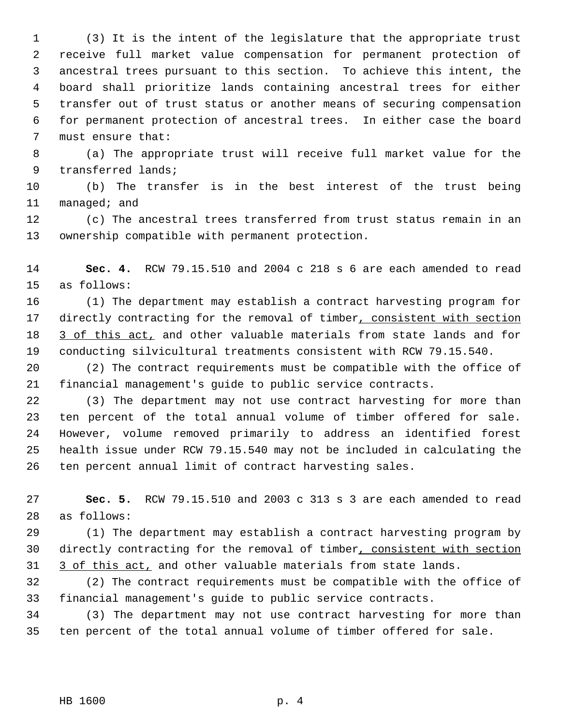(3) It is the intent of the legislature that the appropriate trust receive full market value compensation for permanent protection of ancestral trees pursuant to this section. To achieve this intent, the board shall prioritize lands containing ancestral trees for either transfer out of trust status or another means of securing compensation for permanent protection of ancestral trees. In either case the board must ensure that:

 (a) The appropriate trust will receive full market value for the transferred lands;

 (b) The transfer is in the best interest of the trust being managed; and

 (c) The ancestral trees transferred from trust status remain in an ownership compatible with permanent protection.

 **Sec. 4.** RCW 79.15.510 and 2004 c 218 s 6 are each amended to read as follows:

 (1) The department may establish a contract harvesting program for 17 directly contracting for the removal of timber, consistent with section 18 3 of this act, and other valuable materials from state lands and for conducting silvicultural treatments consistent with RCW 79.15.540.

 (2) The contract requirements must be compatible with the office of financial management's guide to public service contracts.

 (3) The department may not use contract harvesting for more than ten percent of the total annual volume of timber offered for sale. However, volume removed primarily to address an identified forest health issue under RCW 79.15.540 may not be included in calculating the ten percent annual limit of contract harvesting sales.

 **Sec. 5.** RCW 79.15.510 and 2003 c 313 s 3 are each amended to read as follows:

 (1) The department may establish a contract harvesting program by 30 directly contracting for the removal of timber, consistent with section 31 3 of this act, and other valuable materials from state lands.

 (2) The contract requirements must be compatible with the office of financial management's guide to public service contracts.

 (3) The department may not use contract harvesting for more than ten percent of the total annual volume of timber offered for sale.